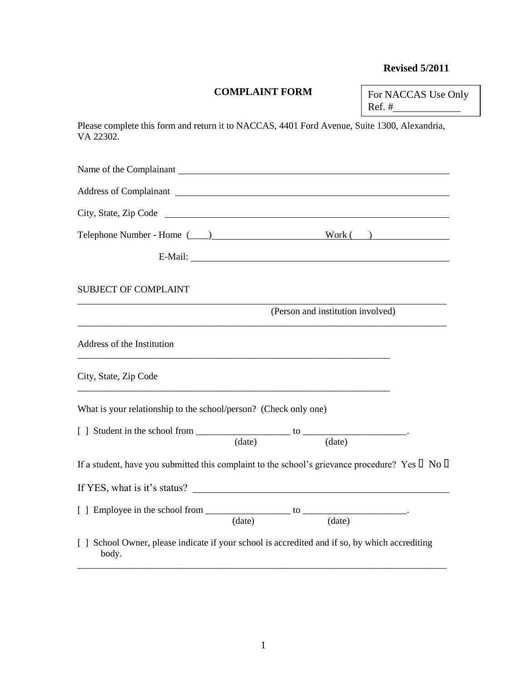# **Revised 5/2011**

## **COMPLAINT FORM**

For NACCAS Use Only Ref.  $#_$ 

Please complete this form and return it to NACCAS, 4401 Ford Avenue, Suite 1300, Alexandria, VA 22302.

| Name of the Complainant                                                                                   |                                   |  |
|-----------------------------------------------------------------------------------------------------------|-----------------------------------|--|
| Address of Complainant Law Address Complainant                                                            |                                   |  |
|                                                                                                           |                                   |  |
|                                                                                                           |                                   |  |
| E-Mail:                                                                                                   |                                   |  |
| <b>SUBJECT OF COMPLAINT</b>                                                                               |                                   |  |
|                                                                                                           | (Person and institution involved) |  |
| Address of the Institution                                                                                |                                   |  |
| City, State, Zip Code                                                                                     |                                   |  |
| What is your relationship to the school/person? (Check only one)                                          |                                   |  |
|                                                                                                           |                                   |  |
|                                                                                                           |                                   |  |
| If a student, have you submitted this complaint to the school's grievance procedure? Yes $\Box$ No $\Box$ |                                   |  |
| If YES, what is it's status?                                                                              |                                   |  |
|                                                                                                           |                                   |  |
| School Owner, please indicate if your school is accredited and if so, by which accrediting<br>body.       |                                   |  |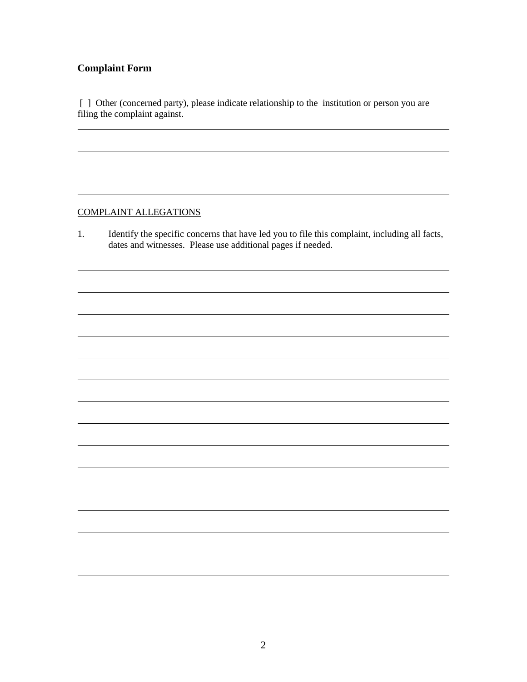## **Complaint Form**

l

l

[ ] Other (concerned party), please indicate relationship to the institution or person you are filing the complaint against.

#### COMPLAINT ALLEGATIONS

1. Identify the specific concerns that have led you to file this complaint, including all facts, dates and witnesses. Please use additional pages if needed.

<u> 1989 - Johann Barbara, martin amerikan basar dan berasal dalam basa dalam basar dalam basar dalam basar dala</u>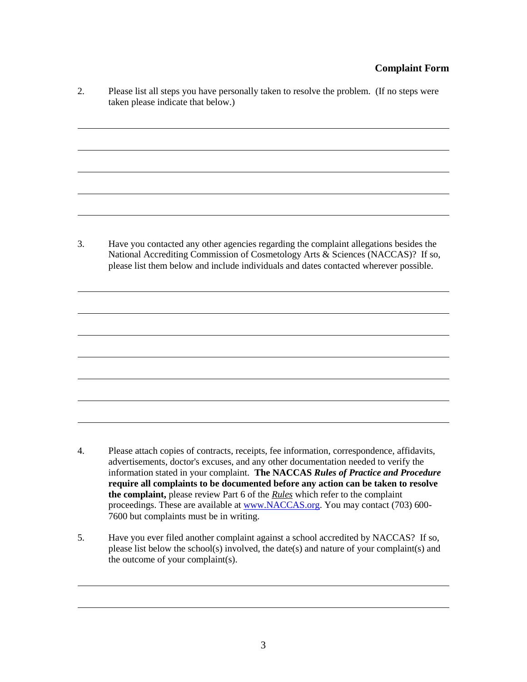#### **Complaint Form**

i<br>L

l.

i<br>L

l.

j.

l.

l.

l.

2. Please list all steps you have personally taken to resolve the problem. (If no steps were taken please indicate that below.)

l

l

3. Have you contacted any other agencies regarding the complaint allegations besides the National Accrediting Commission of Cosmetology Arts & Sciences (NACCAS)? If so, please list them below and include individuals and dates contacted wherever possible.

- 4. Please attach copies of contracts, receipts, fee information, correspondence, affidavits, advertisements, doctor's excuses, and any other documentation needed to verify the information stated in your complaint. **The NACCAS** *Rules of Practice and Procedure* **require all complaints to be documented before any action can be taken to resolve the complaint,** please review Part 6 of the *Rules* which refer to the complaint proceedings. These are available at [www.NACCAS.org.](http://www.naccas.org/) You may contact (703) 600-7600 but complaints must be in writing.
- 5. Have you ever filed another complaint against a school accredited by NACCAS? If so, please list below the school(s) involved, the date(s) and nature of your complaint(s) and the outcome of your complaint(s).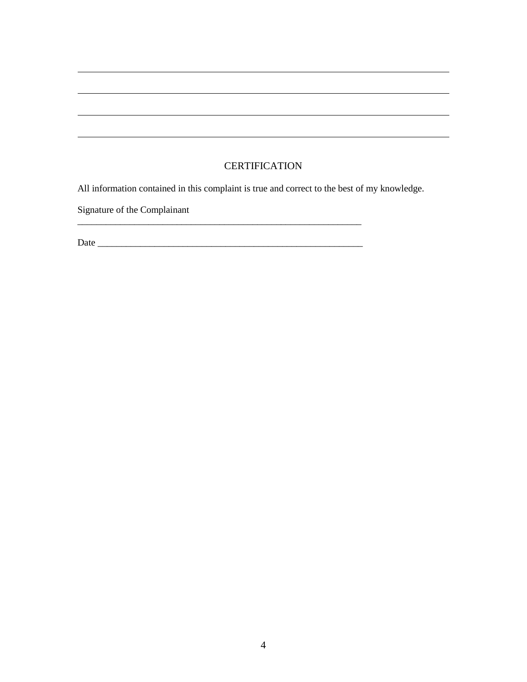## **CERTIFICATION**

<u> 1989 - Johann Stoff, fransk politik (d. 1989)</u>

i<br>L

l.

All information contained in this complaint is true and correct to the best of my knowledge.

Signature of the Complainant

l

Date \_\_\_\_\_\_\_\_\_\_\_\_\_\_\_\_\_\_\_\_\_\_\_\_\_\_\_\_\_\_\_\_\_\_\_\_\_\_\_\_\_\_\_\_\_\_\_\_\_\_\_\_\_\_\_\_

\_\_\_\_\_\_\_\_\_\_\_\_\_\_\_\_\_\_\_\_\_\_\_\_\_\_\_\_\_\_\_\_\_\_\_\_\_\_\_\_\_\_\_\_\_\_\_\_\_\_\_\_\_\_\_\_\_\_\_\_